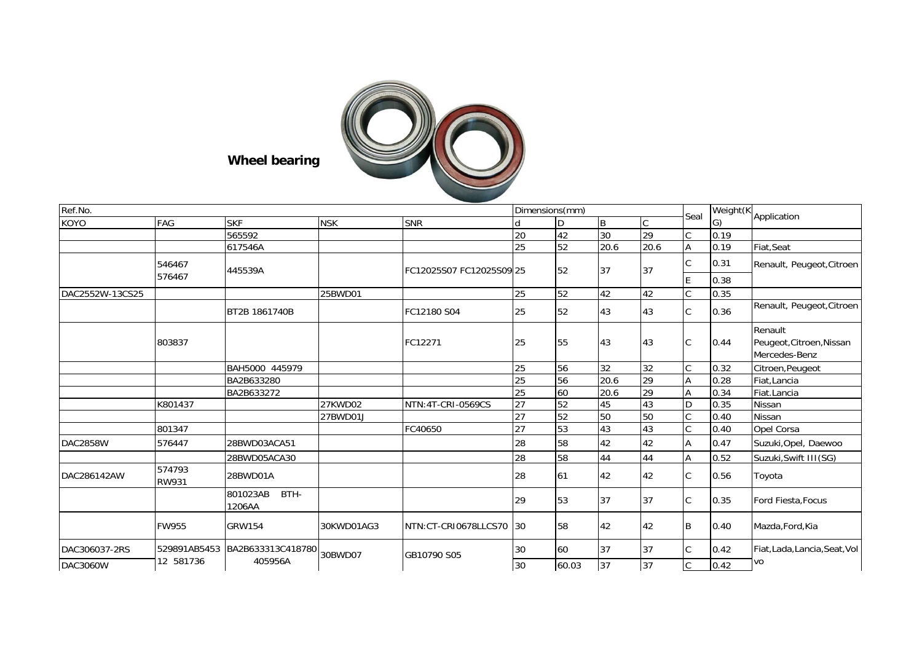

**Wheel bearing**

| Ref.No.         |                  |                            |                              |                          |    | Dimensions(mm) |      |                 |              | Weight(K                      |                                                      |
|-----------------|------------------|----------------------------|------------------------------|--------------------------|----|----------------|------|-----------------|--------------|-------------------------------|------------------------------------------------------|
| KOYO            | FAG              | <b>SKF</b>                 | <b>NSK</b>                   | <b>SNR</b>               |    | D              | B    | $\mathsf{C}$    | Seal         | G)                            | Application                                          |
|                 |                  | 565592                     |                              |                          | 20 | 42             | 30   | 29              |              | 0.19                          |                                                      |
|                 |                  | 617546A                    |                              |                          | 25 | 52             | 20.6 | 20.6            | Α            | 0.19                          | Fiat, Seat                                           |
|                 | 546467<br>576467 | 445539A                    |                              | FC12025S07 FC12025S09 25 |    | 52             | 37   | 37              | C            | 0.31                          | Renault, Peugeot, Citroen                            |
|                 |                  |                            |                              |                          |    |                |      |                 | E            | 0.38                          |                                                      |
| DAC2552W-13CS25 |                  |                            | 25BWD01                      |                          | 25 | 52             | 42   | 42              | C            | 0.35                          |                                                      |
|                 |                  | BT2B 1861740B              |                              | FC12180 S04              | 25 | 52             | 43   | 43              | C            | 0.36                          | Renault, Peugeot, Citroen                            |
|                 | 803837           |                            |                              | FC12271                  | 25 | 55             | 43   | 43              | C            | 0.44                          | Renault<br>Peugeot, Citroen, Nissan<br>Mercedes-Benz |
|                 |                  | BAH5000 445979             |                              |                          | 25 | 56             | 32   | 32              | C            | 0.32                          | Citroen, Peugeot                                     |
|                 |                  | BA2B633280                 |                              |                          | 25 | 56             | 20.6 | $\overline{29}$ | Α            | 0.28                          | Fiat, Lancia                                         |
|                 |                  | BA2B633272                 |                              |                          | 25 | 60             | 20.6 | 29              | A            | 0.34                          | Fiat.Lancia                                          |
|                 | K801437          |                            | 27KWD02                      | NTN: 4T-CRI-0569CS       | 27 | 52             | 45   | 43              | D            | 0.35                          | <b>Nissan</b>                                        |
|                 |                  |                            | 27BWD01J                     |                          | 27 | 52             | 50   | 50              | $\mathsf{C}$ | 0.40                          | <b>Nissan</b>                                        |
|                 | 801347           |                            |                              | FC40650                  | 27 | 53             | 43   | 43              | C            | 0.40                          | Opel Corsa                                           |
| <b>DAC2858W</b> | 576447           | 28BWD03ACA51               |                              |                          | 28 | 58             | 42   | 42              | А            | 0.47                          | Suzuki, Opel, Daewoo                                 |
|                 |                  | 28BWD05ACA30               |                              |                          | 28 | 58             | 44   | 44              | Α            | 0.52                          | Suzuki, Swift III(SG)                                |
| DAC286142AW     | 574793<br>RW931  | 28BWD01A                   |                              |                          | 28 | 61             | 42   | 42              | C            | 0.56                          | Toyota                                               |
|                 |                  | BTH-<br>801023AB<br>1206AA |                              |                          | 29 | 53             | 37   | 37              | C            | 0.35                          | Ford Fiesta, Focus                                   |
|                 | <b>FW955</b>     | <b>GRW154</b>              | 30KWD01AG3                   | NTN:CT-CRI0678LLCS70     | 30 | 58             | 42   | 42              | B            | 0.40                          | Mazda, Ford, Kia                                     |
| DAC306037-2RS   | 529891AB5453     | BA2B633313C418780          | 30<br>30BWD07<br>GB10790 S05 |                          | 60 | 37             | 37   | C               | 0.42         | Fiat, Lada, Lancia, Seat, Vol |                                                      |
| <b>DAC3060W</b> | 12 581736        | 405956A                    |                              |                          | 30 | 60.03          | 37   | 37              | С            | 0.42                          | VO                                                   |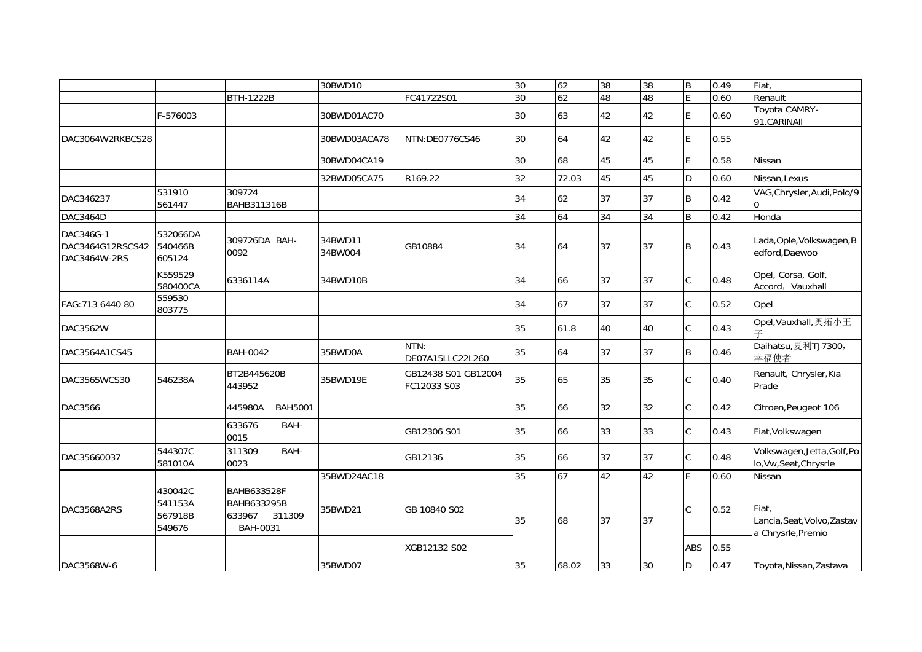|                                               |                                         |                                                                   | 30BWD10            |                                    | 30 | 62    | 38 | 38 | $\sf B$        | 0.49 | Fiat,                                                      |
|-----------------------------------------------|-----------------------------------------|-------------------------------------------------------------------|--------------------|------------------------------------|----|-------|----|----|----------------|------|------------------------------------------------------------|
|                                               |                                         | <b>BTH-1222B</b>                                                  |                    | FC41722S01                         | 30 | 62    | 48 | 48 | $\overline{E}$ | 0.60 | Renault                                                    |
|                                               | F-576003                                |                                                                   | 30BWD01AC70        |                                    | 30 | 63    | 42 | 42 | E              | 0.60 | Toyota CAMRY-<br>91, CARINAII                              |
| DAC3064W2RKBCS28                              |                                         |                                                                   | 30BWD03ACA78       | NTN:DE0776CS46                     | 30 | 64    | 42 | 42 | E              | 0.55 |                                                            |
|                                               |                                         |                                                                   | 30BWD04CA19        |                                    | 30 | 68    | 45 | 45 | E              | 0.58 | Nissan                                                     |
|                                               |                                         |                                                                   | 32BWD05CA75        | R169.22                            | 32 | 72.03 | 45 | 45 | D              | 0.60 | Nissan, Lexus                                              |
| DAC346237                                     | 531910<br>561447                        | 309724<br>BAHB311316B                                             |                    |                                    | 34 | 62    | 37 | 37 | B              | 0.42 | VAG, Chrysler, Audi, Polo/9                                |
| DAC3464D                                      |                                         |                                                                   |                    |                                    | 34 | 64    | 34 | 34 | B              | 0.42 | Honda                                                      |
| DAC346G-1<br>DAC3464G12RSCS42<br>DAC3464W-2RS | 532066DA<br>540466B<br>605124           | 309726DA BAH-<br>0092                                             | 34BWD11<br>34BW004 | GB10884                            | 34 | 64    | 37 | 37 | $\sf B$        | 0.43 | Lada, Ople, Volkswagen, B<br>edford, Daewoo                |
|                                               | K559529<br>580400CA                     | 6336114A                                                          | 34BWD10B           |                                    | 34 | 66    | 37 | 37 | $\mathsf C$    | 0.48 | Opel, Corsa, Golf,<br>Accord, Vauxhall                     |
| FAG: 713 6440 80                              | 559530<br>803775                        |                                                                   |                    |                                    | 34 | 67    | 37 | 37 | $\mathsf C$    | 0.52 | Opel                                                       |
| DAC3562W                                      |                                         |                                                                   |                    |                                    | 35 | 61.8  | 40 | 40 | $\mathsf{C}$   | 0.43 | Opel, Vauxhall, 奥拓小王                                       |
| DAC3564A1CS45                                 |                                         | <b>BAH-0042</b>                                                   | 35BWD0A            | NTN:<br>DE07A15LLC22L260           | 35 | 64    | 37 | 37 | B              | 0.46 | Daihatsu,夏利TJ7300,<br>幸福使者                                 |
| DAC3565WCS30                                  | 546238A                                 | BT2B445620B<br>443952                                             | 35BWD19E           | GB12438 S01 GB12004<br>FC12033 S03 | 35 | 65    | 35 | 35 | $\mathsf C$    | 0.40 | Renault, Chrysler, Kia<br>Prade                            |
| <b>DAC3566</b>                                |                                         | 445980A<br><b>BAH5001</b>                                         |                    |                                    | 35 | 66    | 32 | 32 | $\mathsf{C}$   | 0.42 | Citroen, Peugeot 106                                       |
|                                               |                                         | 633676<br>BAH-<br>0015                                            |                    | GB12306 S01                        | 35 | 66    | 33 | 33 | $\mathsf C$    | 0.43 | Fiat, Volkswagen                                           |
| DAC35660037                                   | 544307C<br>581010A                      | 311309<br>BAH-<br>0023                                            |                    | GB12136                            | 35 | 66    | 37 | 37 | C              | 0.48 | Volkswagen, Jetta, Golf, Po<br>lo, Vw, Seat, Chrysrle      |
|                                               |                                         |                                                                   | 35BWD24AC18        |                                    | 35 | 67    | 42 | 42 | F              | 0.60 | <b>Nissan</b>                                              |
| DAC3568A2RS                                   | 430042C<br>541153A<br>567918B<br>549676 | BAHB633528F<br><b>BAHB633295B</b><br>633967<br>311309<br>BAH-0031 | 35BWD21            | GB 10840 S02                       | 35 | 68    | 37 | 37 | $\mathsf{C}$   | 0.52 | Fiat.<br>Lancia, Seat, Volvo, Zastav<br>a Chrysrle, Premio |
|                                               |                                         |                                                                   |                    | XGB12132 S02                       |    |       |    |    | <b>ABS</b>     | 0.55 |                                                            |
| DAC3568W-6                                    |                                         |                                                                   | 35BWD07            |                                    | 35 | 68.02 | 33 | 30 | D              | 0.47 | Toyota, Nissan, Zastava                                    |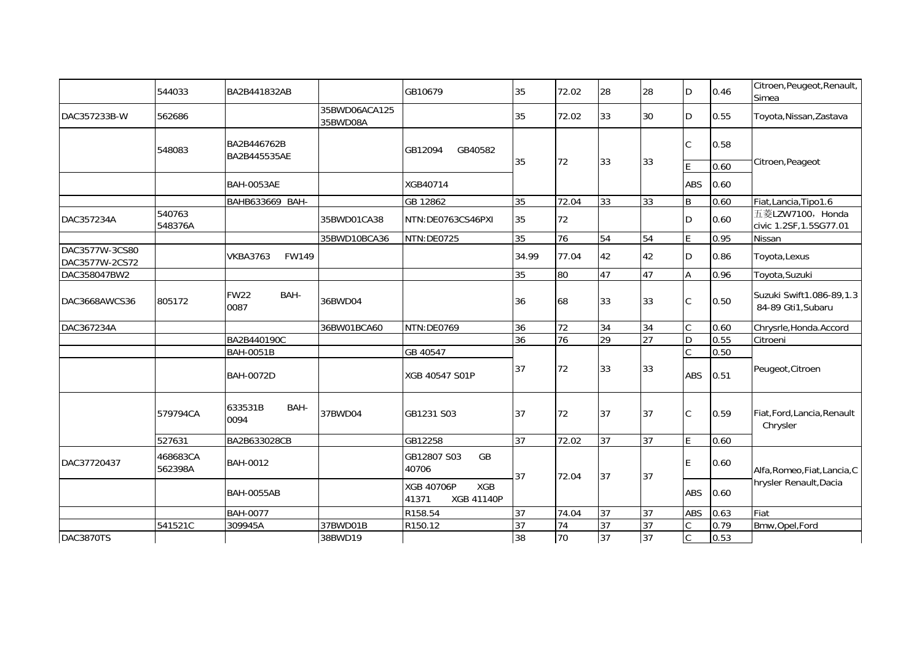|                                  | 544033              | BA2B441832AB                |                           | GB10679                                                       | 35    | 72.02 | 28              | 28              | D              | 0.46 | Citroen, Peugeot, Renault,<br>Simea            |
|----------------------------------|---------------------|-----------------------------|---------------------------|---------------------------------------------------------------|-------|-------|-----------------|-----------------|----------------|------|------------------------------------------------|
| DAC357233B-W                     | 562686              |                             | 35BWD06ACA125<br>35BWD08A |                                                               | 35    | 72.02 | 33              | 30              | D              | 0.55 | Toyota, Nissan, Zastava                        |
|                                  | 548083              | BA2B446762B<br>BA2B445535AE |                           | GB12094<br>GB40582                                            |       |       |                 |                 | C              | 0.58 |                                                |
|                                  |                     |                             |                           |                                                               | 35    | 72    | 33              | 33              |                | 0.60 | Citroen, Peageot                               |
|                                  |                     | <b>BAH-0053AE</b>           |                           | XGB40714                                                      |       |       |                 |                 | <b>ABS</b>     | 0.60 |                                                |
|                                  |                     | BAHB633669 BAH-             |                           | GB 12862                                                      | 35    | 72.04 | 33              | 33              | B              | 0.60 | Fiat, Lancia, Tipo1.6                          |
| DAC357234A                       | 540763<br>548376A   |                             | 35BWD01CA38               | NTN:DE0763CS46PXI                                             | 35    | 72    |                 |                 | D              | 0.60 | 五菱LZW7100, Honda<br>civic 1.2SF, 1.5SG77.01    |
|                                  |                     |                             | 35BWD10BCA36              | NTN:DE0725                                                    | 35    | 76    | 54              | 54              | E              | 0.95 | Nissan                                         |
| DAC3577W-3CS80<br>DAC3577W-2CS72 |                     | <b>VKBA3763</b><br>FW149    |                           |                                                               | 34.99 | 77.04 | 42              | 42              | D              | 0.86 | Toyota, Lexus                                  |
| DAC358047BW2                     |                     |                             |                           |                                                               | 35    | 80    | 47              | 47              | A              | 0.96 | Toyota, Suzuki                                 |
| DAC3668AWCS36                    | 805172              | BAH-<br><b>FW22</b><br>0087 | 36BWD04                   |                                                               | 36    | 68    | 33              | 33              | $\mathsf C$    | 0.50 | Suzuki Swift1.086-89,1.3<br>84-89 Gti1, Subaru |
| DAC367234A                       |                     |                             | 36BW01BCA60               | NTN:DE0769                                                    | 36    | 72    | 34              | 34              | $\mathsf{C}$   | 0.60 | Chrysrle, Honda. Accord                        |
|                                  |                     | BA2B440190C                 |                           |                                                               | 36    | 76    | 29              | $\overline{27}$ | D              | 0.55 | Citroeni                                       |
|                                  |                     | <b>BAH-0051B</b>            |                           | GB 40547                                                      |       |       |                 |                 | C              | 0.50 |                                                |
|                                  |                     | <b>BAH-0072D</b>            |                           | XGB 40547 S01P                                                | 37    | 72    | 33              | 33              | ABS            | 0.51 | Peugeot, Citroen                               |
|                                  | 579794CA            | 633531B<br>BAH-<br>0094     | 37BWD04                   | GB1231 S03                                                    | 37    | 72    | 37              | 37              | C              | 0.59 | Fiat, Ford, Lancia, Renault<br>Chrysler        |
|                                  | 527631              | BA2B633028CB                |                           | GB12258                                                       | 37    | 72.02 | 37              | 37              | E              | 0.60 |                                                |
| DAC37720437                      | 468683CA<br>562398A | <b>BAH-0012</b>             |                           | GB<br>GB12807 S03<br>40706                                    | 37    | 72.04 | 37              | 37              | E              | 0.60 | Alfa, Romeo, Fiat, Lancia, C                   |
|                                  |                     | <b>BAH-0055AB</b>           |                           | <b>XGB 40706P</b><br><b>XGB</b><br>41371<br><b>XGB 41140P</b> |       |       |                 |                 | ABS            | 0.60 | hrysler Renault, Dacia                         |
|                                  |                     | <b>BAH-0077</b>             |                           | R158.54                                                       | 37    | 74.04 | 37              | 37              | <b>ABS</b>     | 0.63 | Fiat                                           |
|                                  | 541521C             | 309945A                     | 37BWD01B                  | R150.12                                                       | 37    | 74    | $\overline{37}$ | 37              |                | 0.79 | Bmw, Opel, Ford                                |
| DAC3870TS                        |                     |                             | 38BWD19                   |                                                               | 38    | 70    | 37              | 37              | $\overline{C}$ | 0.53 |                                                |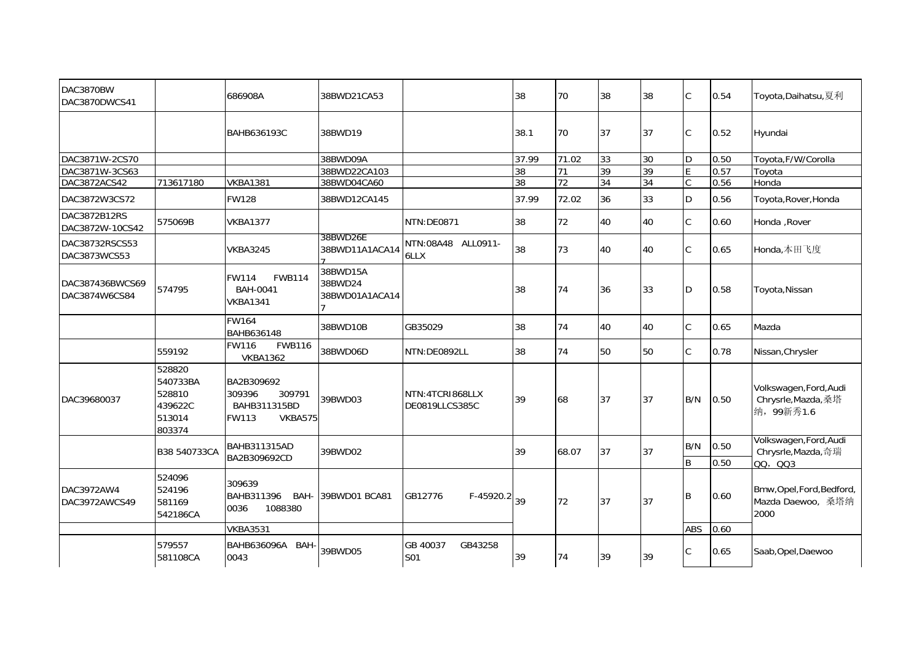| DAC3870BW<br>DAC3870DWCS41       |                                                             | 686908A                                                            | 38BWD21CA53                           |                                    | 38    | 70    | 38 | 38 | $\mathcal{C}$      | 0.54         | Toyota,Daihatsu,夏利                                          |
|----------------------------------|-------------------------------------------------------------|--------------------------------------------------------------------|---------------------------------------|------------------------------------|-------|-------|----|----|--------------------|--------------|-------------------------------------------------------------|
|                                  |                                                             | BAHB636193C                                                        | 38BWD19                               |                                    | 38.1  | 70    | 37 | 37 | C                  | 0.52         | Hyundai                                                     |
| DAC3871W-2CS70                   |                                                             |                                                                    | 38BWD09A                              |                                    | 37.99 | 71.02 | 33 | 30 | D                  | 0.50         | Toyota, F/W/Corolla                                         |
| DAC3871W-3CS63                   |                                                             |                                                                    | 38BWD22CA103                          |                                    | 38    | 71    | 39 | 39 | E                  | 0.57         | Toyota                                                      |
| DAC3872ACS42                     | 713617180                                                   | <b>VKBA1381</b>                                                    | 38BWD04CA60                           |                                    | 38    | 72    | 34 | 34 | $\overline{C}$     | 0.56         | Honda                                                       |
| DAC3872W3CS72                    |                                                             | <b>FW128</b>                                                       | 38BWD12CA145                          |                                    | 37.99 | 72.02 | 36 | 33 | D                  | 0.56         | Toyota, Rover, Honda                                        |
| DAC3872B12RS<br>DAC3872W-10CS42  | 575069B                                                     | <b>VKBA1377</b>                                                    |                                       | NTN:DE0871                         | 38    | 72    | 40 | 40 | $\mathsf{C}$       | 0.60         | Honda, Rover                                                |
| DAC38732RSCS53<br>DAC3873WCS53   |                                                             | <b>VKBA3245</b>                                                    | 38BWD26E<br>38BWD11A1ACA14            | NTN:08A48 ALL0911-<br>6LLX         | 38    | 73    | 40 | 40 | $\mathsf{C}$       | 0.65         | Honda,本田飞度                                                  |
| DAC387436BWCS69<br>DAC3874W6CS84 | 574795                                                      | <b>FWB114</b><br><b>FW114</b><br>BAH-0041<br><b>VKBA1341</b>       | 38BWD15A<br>38BWD24<br>38BWD01A1ACA14 |                                    | 38    | 74    | 36 | 33 | D.                 | 0.58         | Toyota, Nissan                                              |
|                                  |                                                             | <b>FW164</b><br>BAHB636148                                         | 38BWD10B                              | GB35029                            | 38    | 74    | 40 | 40 | $\mathsf{C}$       | 0.65         | Mazda                                                       |
|                                  | 559192                                                      | <b>FW116</b><br><b>FWB116</b><br><b>VKBA1362</b>                   | 38BWD06D                              | NTN:DE0892LL                       | 38    | 74    | 50 | 50 | $\mathsf C$        | 0.78         | Nissan, Chrysler                                            |
| DAC39680037                      | 528820<br>540733BA<br>528810<br>439622C<br>513014<br>803374 | BA2B309692<br>309396<br>309791<br>BAHB311315BD<br>FW113<br>VKBA575 | 39BWD03                               | NTN: 4TCR1868LLX<br>DE0819LLCS385C | 39    | 68    | 37 | 37 | B/N                | 0.50         | Volkswagen, Ford, Audi<br>Chrysrle, Mazda, 桑塔<br>纳, 99新秀1.6 |
|                                  | B38 540733CA                                                | <b>BAHB311315AD</b><br>BA2B309692CD                                | 39BWD02                               |                                    | 39    | 68.07 | 37 | 37 | B/N<br>$\mathsf B$ | 0.50<br>0.50 | Volkswagen, Ford, Audi<br>Chrysrle, Mazda, 奇瑞<br>00, 003    |
| DAC3972AW4<br>DAC3972AWCS49      | 524096<br>524196<br>581169<br>542186CA                      | 309639<br>BAHB311396<br>BAH-<br>1088380<br>0036                    | 39BWD01 BCA81                         | $F-45920.2 _{39}$<br>GB12776       |       | 72    | 37 | 37 | B                  | 0.60         | Bmw, Opel, Ford, Bedford,<br>Mazda Daewoo, 桑塔纳<br>2000      |
|                                  |                                                             | <b>VKBA3531</b>                                                    |                                       |                                    |       |       |    |    | <b>ABS</b>         | 0.60         |                                                             |
|                                  | 579557<br>581108CA                                          | BAHB636096A BAH<br>0043                                            | 39BWD05                               | GB 40037<br>GB43258<br>S01         | 39    | 74    | 39 | 39 |                    | 0.65         | Saab, Opel, Daewoo                                          |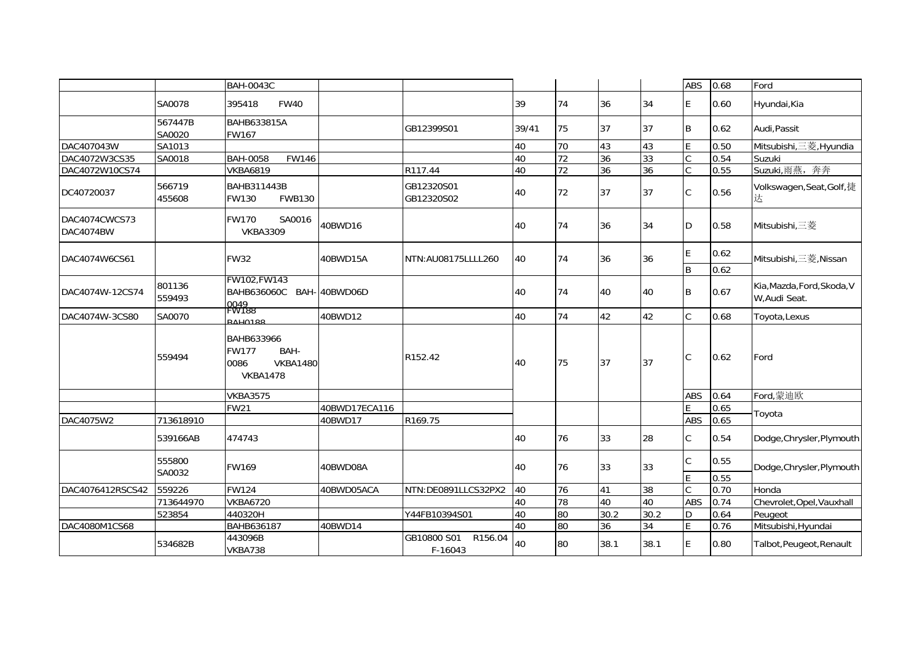|                            |                   | <b>BAH-0043C</b>                                                                        |               |                                   |       |                 |      |      | <b>ABS</b>          | 0.68         | Ford                                        |
|----------------------------|-------------------|-----------------------------------------------------------------------------------------|---------------|-----------------------------------|-------|-----------------|------|------|---------------------|--------------|---------------------------------------------|
|                            | SA0078            | <b>FW40</b><br>395418                                                                   |               |                                   | 39    | 74              | 36   | 34   | E                   | 0.60         | Hyundai, Kia                                |
|                            | 567447B<br>SA0020 | <b>BAHB633815A</b><br>FW167                                                             |               | GB12399S01                        | 39/41 | 75              | 37   | 37   | B                   | 0.62         | Audi, Passit                                |
| DAC407043W                 | SA1013            |                                                                                         |               |                                   | 40    | 70              | 43   | 43   | E                   | 0.50         | Mitsubishi,三菱, Hyundia                      |
| DAC4072W3CS35              | SA0018            | <b>BAH-0058</b><br><b>FW146</b>                                                         |               |                                   | 40    | 72              | 36   | 33   | C                   | 0.54         | Suzuki                                      |
| DAC4072W10CS74             |                   | <b>VKBA6819</b>                                                                         |               | R117.44                           | 40    | 72              | 36   | 36   | $\mathsf{C}$        | 0.55         | Suzuki,雨燕,奔奔                                |
| DC40720037                 | 566719<br>455608  | BAHB311443B<br>FW130<br><b>FWB130</b>                                                   |               | GB12320S01<br>GB12320S02          | 40    | 72              | 37   | 37   | $\mathsf C$         | 0.56         | Volkswagen, Seat, Golf, 捷                   |
| DAC4074CWCS73<br>DAC4074BW |                   | SA0016<br><b>FW170</b><br><b>VKBA3309</b>                                               | 40BWD16       |                                   | 40    | 74              | 36   | 34   | D                   | 0.58         | Mitsubishi,三菱                               |
|                            |                   |                                                                                         |               |                                   |       |                 |      |      | E                   | 0.62         |                                             |
| DAC4074W6CS61              |                   | <b>FW32</b>                                                                             | 40BWD15A      | NTN:AU08175LLLL260                | 40    | 74              | 36   | 36   |                     |              | Mitsubishi,三菱, Nissan                       |
|                            |                   | FW102, FW143                                                                            |               |                                   |       |                 |      |      | $\mathsf B$         | 0.62         |                                             |
| DAC4074W-12CS74            | 801136<br>559493  | BAHB636060C BAH-<br>0049<br>FW188                                                       | 40BWD06D      |                                   | 40    | 74              | 40   | 40   | B                   | 0.67         | Kia, Mazda, Ford, Skoda, V<br>W, Audi Seat. |
| DAC4074W-3CS80             | SA0070            | <b>RAH0188</b>                                                                          | 40BWD12       |                                   | 40    | 74              | 42   | 42   | $\mathsf{C}$        | 0.68         | Toyota, Lexus                               |
|                            | 559494            | <b>BAHB633966</b><br><b>FW177</b><br>BAH-<br><b>VKBA1480</b><br>0086<br><b>VKBA1478</b> |               | R152.42                           | 40    | 75              | 37   | 37   | C                   | 0.62         | Ford                                        |
|                            |                   | <b>VKBA3575</b>                                                                         |               |                                   |       |                 |      |      | <b>ABS</b>          | 0.64         | Ford,蒙迪欧                                    |
|                            |                   | FW <sub>21</sub>                                                                        | 40BWD17ECA116 |                                   |       |                 |      |      | E                   | 0.65         | Toyota                                      |
| DAC4075W2                  | 713618910         |                                                                                         | 40BWD17       | R169.75                           |       |                 |      |      | <b>ABS</b>          | 0.65         |                                             |
|                            | 539166AB          | 474743                                                                                  |               |                                   | 40    | 76              | 33   | 28   | C                   | 0.54         | Dodge, Chrysler, Plymouth                   |
|                            | 555800<br>SA0032  | <b>FW169</b>                                                                            | 40BWD08A      |                                   | 40    | 76              | 33   | 33   | $\overline{C}$<br>F | 0.55<br>0.55 | Dodge, Chrysler, Plymouth                   |
| DAC4076412RSCS42           | 559226            | <b>FW124</b>                                                                            | 40BWD05ACA    | NTN:DE0891LLCS32PX2               | 40    | 76              | 41   | 38   | C                   | 0.70         | Honda                                       |
|                            | 713644970         | <b>VKBA6720</b>                                                                         |               |                                   | 40    | 78              | 40   | 40   | <b>ABS</b>          | 0.74         | Chevrolet, Opel, Vauxhall                   |
|                            | 523854            | 440320H                                                                                 |               | Y44FB10394S01                     | 40    | $\overline{80}$ | 30.2 | 30.2 | D                   | 0.64         | Peugeot                                     |
| DAC4080M1CS68              |                   | <b>BAHB636187</b>                                                                       | 40BWD14       |                                   | 40    | 80              | 36   | 34   | F                   | 0.76         | Mitsubishi, Hyundai                         |
|                            | 534682B           | 443096B<br>VKBA738                                                                      |               | GB10800 S01<br>R156.04<br>F-16043 | 40    | 80              | 38.1 | 38.1 | E                   | 0.80         | Talbot, Peugeot, Renault                    |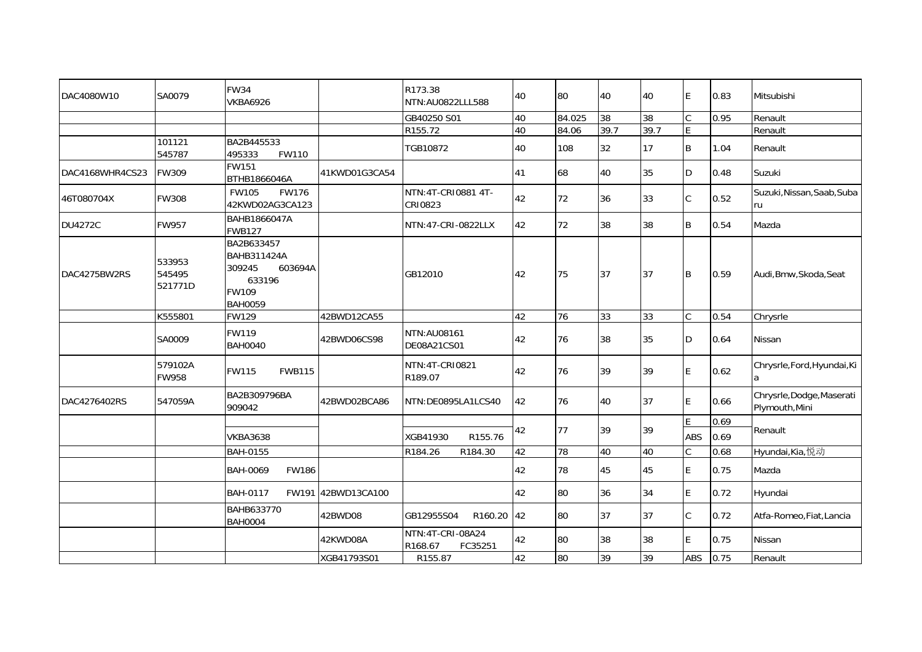| DAC4080W10      | SA0079                      | <b>FW34</b><br><b>VKBA6926</b>                                                      |                    | R173.38<br>NTN:AU0822LLL588            | 40 | 80     | 40   | 40   | E           | 0.83 | Mitsubishi                                  |
|-----------------|-----------------------------|-------------------------------------------------------------------------------------|--------------------|----------------------------------------|----|--------|------|------|-------------|------|---------------------------------------------|
|                 |                             |                                                                                     |                    | GB40250 S01                            | 40 | 84.025 | 38   | 38   | C           | 0.95 | Renault                                     |
|                 |                             |                                                                                     |                    | R155.72                                | 40 | 84.06  | 39.7 | 39.7 | F           |      | Renault                                     |
|                 | 101121<br>545787            | BA2B445533<br>495333<br><b>FW110</b>                                                |                    | TGB10872                               | 40 | 108    | 32   | 17   | B           | 1.04 | Renault                                     |
| DAC4168WHR4CS23 | <b>FW309</b>                | FW151<br>BTHB1866046A                                                               | 41KWD01G3CA54      |                                        | 41 | 68     | 40   | 35   | D           | 0.48 | Suzuki                                      |
| 46T080704X      | <b>FW308</b>                | <b>FW105</b><br><b>FW176</b><br>42KWD02AG3CA123                                     |                    | NTN: 4T-CRI0881 4T-<br>CRI0823         | 42 | 72     | 36   | 33   | C           | 0.52 | Suzuki, Nissan, Saab, Suba<br>ru            |
| <b>DU4272C</b>  | <b>FW957</b>                | BAHB1866047A<br><b>FWB127</b>                                                       |                    | NTN:47-CRI-0822LLX                     | 42 | 72     | 38   | 38   | B           | 0.54 | Mazda                                       |
| DAC4275BW2RS    | 533953<br>545495<br>521771D | BA2B633457<br>BAHB311424A<br>309245<br>603694A<br>633196<br>FW109<br><b>BAH0059</b> |                    | GB12010                                | 42 | 75     | 37   | 37   | B           | 0.59 | Audi, Bmw, Skoda, Seat                      |
|                 | K555801                     | <b>FW129</b>                                                                        | 42BWD12CA55        |                                        | 42 | 76     | 33   | 33   | C           | 0.54 | Chrysrle                                    |
|                 | SA0009                      | FW119<br><b>BAH0040</b>                                                             | 42BWD06CS98        | NTN:AU08161<br>DE08A21CS01             | 42 | 76     | 38   | 35   | D           | 0.64 | Nissan                                      |
|                 | 579102A<br>FW958            | <b>FWB115</b><br><b>FW115</b>                                                       |                    | NTN: 4T-CRI0821<br>R189.07             | 42 | 76     | 39   | 39   | E           | 0.62 | Chrysrle, Ford, Hyundai, Ki<br>a            |
| DAC4276402RS    | 547059A                     | BA2B309796BA<br>909042                                                              | 42BWD02BCA86       | NTN:DE0895LA1LCS40                     | 42 | 76     | 40   | 37   | E           | 0.66 | Chrysrle, Dodge, Maserati<br>Plymouth, Mini |
|                 |                             |                                                                                     |                    |                                        |    |        |      |      | E           | 0.69 |                                             |
|                 |                             | <b>VKBA3638</b>                                                                     |                    | XGB41930<br>R155.76                    | 42 | 77     | 39   | 39   | ABS         | 0.69 | Renault                                     |
|                 |                             | BAH-0155                                                                            |                    | R184.26<br>R184.30                     | 42 | 78     | 40   | 40   | C           | 0.68 | Hyundai, Kia, 悦动                            |
|                 |                             | BAH-0069<br><b>FW186</b>                                                            |                    |                                        | 42 | 78     | 45   | 45   | E           | 0.75 | Mazda                                       |
|                 |                             | <b>BAH-0117</b>                                                                     | FW191 42BWD13CA100 |                                        | 42 | 80     | 36   | 34   | E           | 0.72 | Hyundai                                     |
|                 |                             | BAHB633770<br><b>BAH0004</b>                                                        | 42BWD08            | GB12955S04<br>R160.20                  | 42 | 80     | 37   | 37   | $\mathsf C$ | 0.72 | Atfa-Romeo, Fiat, Lancia                    |
|                 |                             |                                                                                     | 42KWD08A           | NTN:4T-CRI-08A24<br>R168.67<br>FC35251 | 42 | 80     | 38   | 38   | E           | 0.75 | Nissan                                      |
|                 |                             |                                                                                     | XGB41793S01        | R155.87                                | 42 | 80     | 39   | 39   | ABS         | 0.75 | Renault                                     |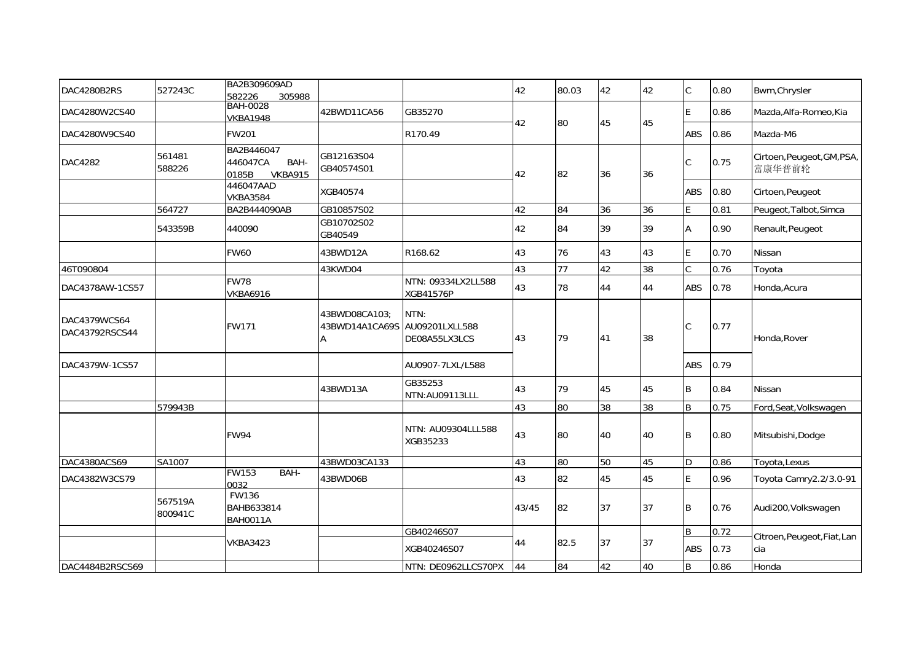| DAC4280B2RS                    | 527243C            | BA2B309609AD<br>582226<br>305988                          |                                 |                                         | 42    | 80.03           | 42 | 42 | $\mathsf C$    | 0.80 | Bwm, Chrysler                        |
|--------------------------------|--------------------|-----------------------------------------------------------|---------------------------------|-----------------------------------------|-------|-----------------|----|----|----------------|------|--------------------------------------|
| DAC4280W2CS40                  |                    | <b>BAH-0028</b><br><b>VKBA1948</b>                        | 42BWD11CA56                     | GB35270                                 |       |                 |    |    | E              | 0.86 | Mazda, Alfa-Romeo, Kia               |
| DAC4280W9CS40                  |                    | FW201                                                     |                                 | R170.49                                 | 42    | 80              | 45 | 45 | ABS            | 0.86 | Mazda-M6                             |
| <b>DAC4282</b>                 | 561481<br>588226   | BA2B446047<br>BAH-<br>446047CA<br><b>VKBA915</b><br>0185B | GB12163S04<br>GB40574S01        |                                         | 42    | 82              | 36 | 36 | C              | 0.75 | Cirtoen, Peugeot, GM, PSA,<br>富康华普前轮 |
|                                |                    | 446047AAD<br><b>VKBA3584</b>                              | XGB40574                        |                                         |       |                 |    |    | <b>ABS</b>     | 0.80 | Cirtoen, Peugeot                     |
|                                | 564727             | BA2B444090AB                                              | GB10857S02                      |                                         | 42    | 84              | 36 | 36 | E              | 0.81 | Peugeot, Talbot, Simca               |
|                                | 543359B            | 440090                                                    | GB10702S02<br>GB40549           |                                         | 42    | 84              | 39 | 39 | <b>A</b>       | 0.90 | Renault, Peugeot                     |
|                                |                    | <b>FW60</b>                                               | 43BWD12A                        | R168.62                                 | 43    | 76              | 43 | 43 | E              | 0.70 | Nissan                               |
| 46T090804                      |                    |                                                           | 43KWD04                         |                                         | 43    | 77              | 42 | 38 | $\mathsf{C}$   | 0.76 | Toyota                               |
| DAC4378AW-1CS57                |                    | <b>FW78</b><br><b>VKBA6916</b>                            |                                 | NTN: 09334LX2LL588<br>XGB41576P         | 43    | 78              | 44 | 44 | <b>ABS</b>     | 0.78 | Honda, Acura                         |
| DAC4379WCS64<br>DAC43792RSCS44 |                    | <b>FW171</b>                                              | 43BWD08CA103;<br>43BWD14A1CA69S | NTN:<br>AU09201LXLL588<br>DE08A55LX3LCS | 43    | 79              | 41 | 38 | $\mathsf C$    | 0.77 | Honda, Rover                         |
| DAC4379W-1CS57                 |                    |                                                           |                                 | AU0907-7LXL/L588                        |       |                 |    |    | <b>ABS</b>     | 0.79 |                                      |
|                                |                    |                                                           | 43BWD13A                        | GB35253<br>NTN:AU09113LLL               | 43    | 79              | 45 | 45 | B              | 0.84 | <b>Nissan</b>                        |
|                                | 579943B            |                                                           |                                 |                                         | 43    | 80              | 38 | 38 | B              | 0.75 | Ford, Seat, Volkswagen               |
|                                |                    | <b>FW94</b>                                               |                                 | NTN: AU09304LLL588<br>XGB35233          | 43    | 80              | 40 | 40 | ΙB             | 0.80 | Mitsubishi, Dodge                    |
| DAC4380ACS69                   | SA1007             |                                                           | 43BWD03CA133                    |                                         | 43    | $\overline{08}$ | 50 | 45 | D              | 0.86 | Toyota, Lexus                        |
| DAC4382W3CS79                  |                    | <b>FW153</b><br>BAH-<br>0032                              | 43BWD06B                        |                                         | 43    | 82              | 45 | 45 | E              | 0.96 | Toyota Camry2.2/3.0-91               |
|                                | 567519A<br>800941C | FW136<br>BAHB633814<br><b>BAH0011A</b>                    |                                 |                                         | 43/45 | 82              | 37 | 37 | B              | 0.76 | Audi200, Volkswagen                  |
|                                |                    |                                                           |                                 | GB40246S07                              |       |                 |    |    | B              | 0.72 | Citroen, Peugeot, Fiat, Lan          |
|                                |                    | <b>VKBA3423</b>                                           |                                 | XGB40246S07                             | 44    | 82.5            | 37 | 37 | <b>ABS</b>     | 0.73 | cia                                  |
| DAC4484B2RSCS69                |                    |                                                           |                                 | NTN: DE0962LLCS70PX                     | 44    | 84              | 42 | 40 | $\overline{B}$ | 0.86 | Honda                                |